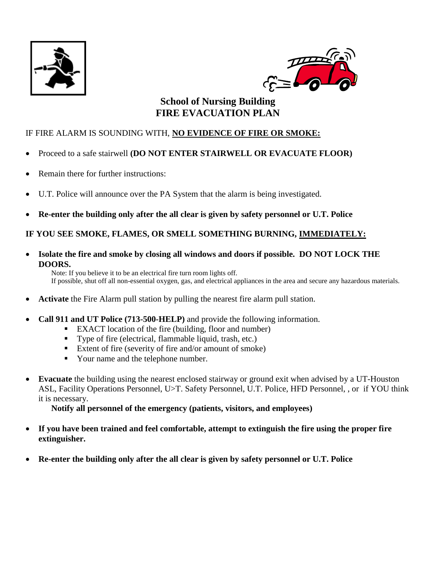



# **School of Nursing Building FIRE EVACUATION PLAN**

## IF FIRE ALARM IS SOUNDING WITH, **NO EVIDENCE OF FIRE OR SMOKE:**

- Proceed to a safe stairwell **(DO NOT ENTER STAIRWELL OR EVACUATE FLOOR)**
- Remain there for further instructions:
- U.T. Police will announce over the PA System that the alarm is being investigated.
- **Re-enter the building only after the all clear is given by safety personnel or U.T. Police**

## **IF YOU SEE SMOKE, FLAMES, OR SMELL SOMETHING BURNING, IMMEDIATELY:**

 **Isolate the fire and smoke by closing all windows and doors if possible. DO NOT LOCK THE DOORS.**

Note: If you believe it to be an electrical fire turn room lights off. If possible, shut off all non-essential oxygen, gas, and electrical appliances in the area and secure any hazardous materials.

- **Activate** the Fire Alarm pull station by pulling the nearest fire alarm pull station.
- **Call 911 and UT Police (713-500-HELP)** and provide the following information.
	- EXACT location of the fire (building, floor and number)
	- Type of fire (electrical, flammable liquid, trash, etc.)
	- Extent of fire (severity of fire and/or amount of smoke)
	- Your name and the telephone number.
- **Evacuate** the building using the nearest enclosed stairway or ground exit when advised by a UT-Houston ASL, Facility Operations Personnel, U>T. Safety Personnel, U.T. Police, HFD Personnel, , or if YOU think it is necessary.

**Notify all personnel of the emergency (patients, visitors, and employees)**

- **If you have been trained and feel comfortable, attempt to extinguish the fire using the proper fire extinguisher.**
- **Re-enter the building only after the all clear is given by safety personnel or U.T. Police**